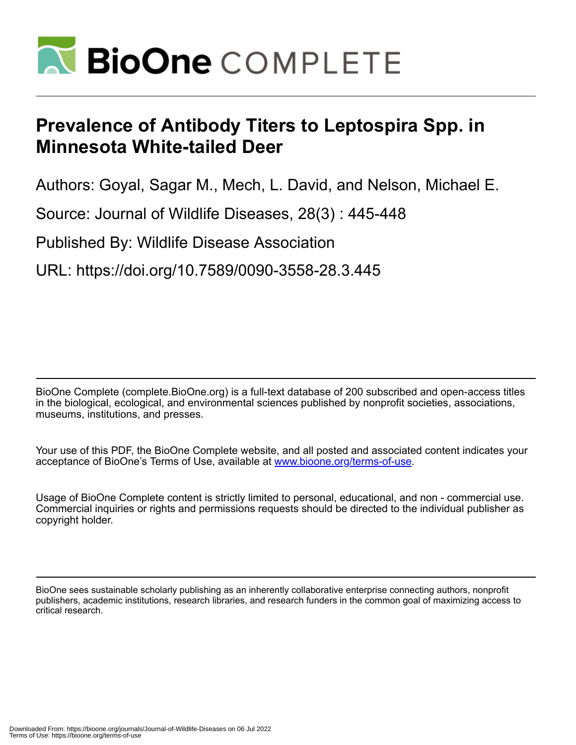

## **Prevalence of Antibody Titers to Leptospira Spp. in Minnesota White-tailed Deer**

Authors: Goyal, Sagar M., Mech, L. David, and Nelson, Michael E.

Source: Journal of Wildlife Diseases, 28(3) : 445-448

Published By: Wildlife Disease Association

URL: https://doi.org/10.7589/0090-3558-28.3.445

BioOne Complete (complete.BioOne.org) is a full-text database of 200 subscribed and open-access titles in the biological, ecological, and environmental sciences published by nonprofit societies, associations, museums, institutions, and presses.

Your use of this PDF, the BioOne Complete website, and all posted and associated content indicates your acceptance of BioOne's Terms of Use, available at www.bioone.org/terms-of-use.

Usage of BioOne Complete content is strictly limited to personal, educational, and non - commercial use. Commercial inquiries or rights and permissions requests should be directed to the individual publisher as copyright holder.

BioOne sees sustainable scholarly publishing as an inherently collaborative enterprise connecting authors, nonprofit publishers, academic institutions, research libraries, and research funders in the common goal of maximizing access to critical research.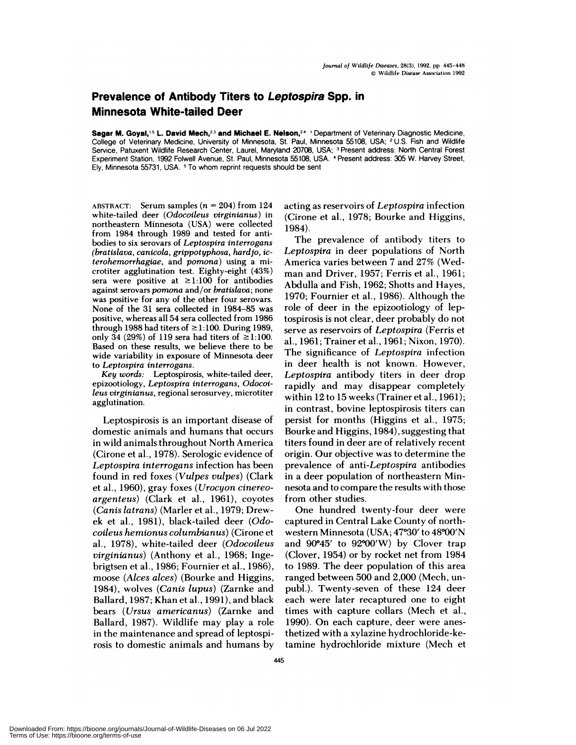## **Prevalence of Antibody Titers to Leptospira Spp. in Minnesota White-tailed Deer**

Sagar **M. Goyal,'5 L.David Mech,23 and Michael E. Nelson,24** 'Department of Veterinary Diagnostic Medicine, College of Veterinary Medicine, University of Minnesota, St. Paul, Minnesota 55108, USA; <sup>2</sup> U.S. Fish and Wildlife Service, Patuxent Wildlife Research Center, Laurel, Maryland 20708, USA; <sup>3</sup> Present address: North Central Forest Experiment Station, 1992 Folwell Avenue, St. Paul, Minnesota 55108, USA. <sup>4</sup> Present address: 305 W. Harvey Street, Ely, Minnesota 55731, USA. <sup>5</sup> To whom reprint requests should be sent

**ABSTRACT:** Serum samples *(n* <sup>=</sup> **204)** from 124 white-tailed deer *(Odocoileus virginianus)* in northeastern Minnesota (USA) were collected from 1984 through 1989 and tested for antibodies to six serovars of *Leptospira interrogans (bratislava, canicola, grippotyphosa, hard Jo, icterohemorrhagiae,* and *pomona)* using a microtiter agglutination test. Eighty-eight (43%) sera were positive at  $\geq$ 1:100 for antibodies against serovars *pomona* and/or *brat islava;* none was positive for any of the other four serovars. None of the 31 sera collected in 1984-85 was positive, whereas all 54 sera collected from 1986 through 1988 had titers of  $\geq$ 1:100. During 1989, only 34 (29%) of 119 sera had titers of  $\geq$ 1:100. Based on these results, we believe there to be wide variability in exposure of Minnesota deer to *Leptospira interrogans.*

*Key words:* Leptospirosis, white-tailed deer, epizootiology, *Leptospira interrogans, Odocoileus virginianus,* regional serosurvey, microtiter agglutination.

Leptospirosis is an important disease of domestic animals and humans that occurs in wild animals throughout North America (Cirone et a!., 1978). Serologic evidence of *Leptospira interrogans* infection has been found in red foxes *(Vulpes vulpes)* (Clark et a!., 1960), gray foxes *(Urocyon cinereoargenteus)* (Clark et a!., 1961), coyotes *(Canis latrans)* (Marler et a!., 1979; Drewek et a!., 1981), black-tailed deer *(Odocoileus hemionus columbianus)* (Cirone et al., 1978), white-tailed deer *(Odocoileus virginianus*) (Anthony et al., 1968; Ingebrigtsen et a!., 1986; Fournier et a!., 1986), moose *(Alces alces)* (Bourke and Higgins, 1984), wolves *(Canis lupus)* (Zarnke and Ballard, 1987; Khan et al., 1991), and black bears *(Ursus americanus)* (Zarnke and Ballard, 1987). Wildlife may play a role in the maintenance and spread of leptospirosis to domestic animals and humans by acting as reservoirs of *Leptospira* infection (Cirone et al., 1978; Bourke and Higgins, 1984).

The prevalence of antibody titers to *Leptospira* in deer populations of North America varies between 7 and 27% (Wed man and Driver, 1957; Ferris et al., 1961; Abdulla and Fish, 1962; Shotts and Hayes, 1970; Fournier et a!., 1986). Although the role of deer in the epizootiology of leptospirosis is not clear, deer probably do not serve as reservoirs of *Leptospira* (Ferris et al., 1961; Trainer et a!., 1961; Nixon, 1970). The significance of *Leptospira* infection in deer health is not known. However, *Leptospira* antibody titers in deer drop rapidly and may disappear completely within 12 to 15 weeks (Trainer et al., 1961); in contrast, bovine leptospirosis titers can persist for months (Higgins et al., 1975; Bourke and Higgins, 1984), suggesting that titers found in deer are of relatively recent origin. Our objective was to determine the prevalence of *anti-Leptospira* antibodies in a deer population of northeastern Minnesota and to compare the results with those from other studies.

One hundred twenty-four deer were captured in Central Lake County of northwestern Minnesota (USA; 47°30' to 48°00'N and  $90^{\circ}45'$  to  $92^{\circ}00'W$ ) by Clover trap (Clover, 1954) or by rocket net from 1984 to 1989. The deer population of this area ranged between 500 and 2,000 (Mech, un publ.). Twenty-seven of these 124 deer each were later recaptured one to eight times with capture collars (Mech et al., 1990). On each capture, deer were anesthetized with a xylazine hydrochloride-ketamine hydrochloride mixture (Mech et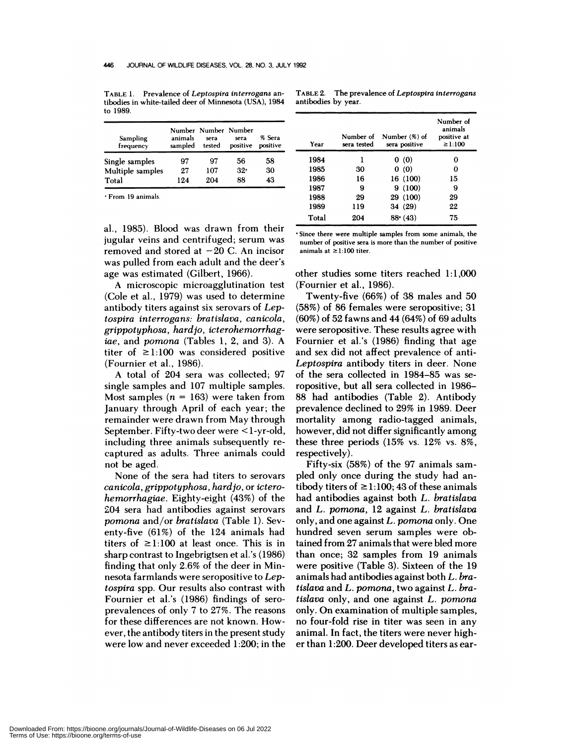**TABLE** 1. Prevalence of Leptospira interrogans antibodies in white-tailed deer of Minnesota (USA), 1984 to 1989.

| Sampling<br>frequency | animals<br>sampled | Number Number Number<br>sera<br>tested | sera<br>positive | % Sera<br>positive |
|-----------------------|--------------------|----------------------------------------|------------------|--------------------|
| Single samples        | 97                 | 97                                     | 56               | 58                 |
| Multiple samples      | 97                 | 107                                    | 32.              | 30                 |
| Total                 | 19.4               | 204                                    | 88               | 43                 |

'From 19 animals.

a!., 1985). Blood was drawn from their jugular veins and centrifuged; serum was removed and stored at  $-20$  C. An incisor was pulled from each adult and the deer's age was estimated (Gilbert, 1966).

A microscopic microagglutination test (Cole et al., 1979) was used to determine antibody titers against six serovars of *Leptospira interrogans: bratislava, canicola, grippotyphosa, hardjo, icterohemorrhagiae,* and *pomona* (Tables 1, 2, and 3). A titer of  $\geq$ 1:100 was considered positive (Fournier et al., 1986).

A total of 204 sera was collected; 97 single samples and 107 multiple samples. Most samples  $(n = 163)$  were taken from January through April of each year; the remainder were drawn from May through September. Fifty-two deer were <1-yr-old, including three animals subsequently re captured as adults. Three animals could not be aged.

None of the sera had titers to serovars *canicola, grippotyphosa, hard jo,* or *icterohemorrhagiae.* Eighty-eight (43%) of the 204 sera had antibodies against serovars *pomona* and/or *bratislava* (Table 1). Seventy-five (61%) of the 124 animals had titers of  $\geq$ 1:100 at least once. This is in sharp contrast to Ingebrigtsen et al's (1986) finding that only 2.6% of the deer in Minnesota farmlands were seropositive to *Leptospira* spp. Our results also contrast with Fournier et al's (1986) findings of sero prevalences of only 7 to 27%. The reasons for these differences are not known. However, the antibody titers in the present study were low and never exceeded 1:200; in the

**TABLE** 2. The prevalence of Leptospira interrogans antibodies by year.

| Year  | Number of<br>sera tested | Number (%) of<br>sera positive | Number of<br>animals<br>positive at<br>$\geq 1.100$ |
|-------|--------------------------|--------------------------------|-----------------------------------------------------|
| 1984  | 1                        | 0(0)                           | O                                                   |
| 1985  | 30                       | 0(0)                           | 0                                                   |
| 1986  | 16                       | 16 (100)                       | 15                                                  |
| 1987  | 9                        | 9(100)                         | 9                                                   |
| 1988  | 29                       | 29 (100)                       | 29                                                  |
| 1989  | 119                      | 34 (29)                        | 22                                                  |
| Total | 204                      | 88(43)                         | 75                                                  |

Since there were multiple samples from some animals, the number of positive sera is more than the number of positive animals at  $\ge$ 1:100 titer.

other studies some titers reached 1:1,000 (Fournier et a!., 1986).

Twenty-five (66%) of 38 males and 50 (58%) of 86 females were seropositive; 31 (60%) of 52 fawns and 44(64%) of 69 adults were seropositive. These results agree with Fournier et al's (1986) finding that age and sex did not affect prevalence of anti-*Leptospira* antibody titers in deer. None of the sera collected in 1984-85 was seropositive, but all sera collected in 1986– 88 had antibodies (Table 2). Antibody prevalence declined to 29% in 1989. Deer mortality among radio-tagged animals, however, did not differ significantly among these three periods (15% vs. 12% vs. 8%, respectively).

Fifty-six (58%) of the 97 animals sam pled only once during the study had antibody titers of  $\geq$ 1:100; 43 of these animals had antibodies against both *L. bratislava* and *L. pomona,* 12 against *L. bratislava* only, and one against *L. pomona* only. One hundred seven serum samples were obtained from 27 animals that were bled more than once; 32 samples from 19 animals were positive (Table 3). Sixteen of the 19 animals had antibodies against both *L. bratislava* and *L. pomona,* two against *L. bratislava* only, and one against *L. pomona* only. On examination of multiple samples, no four-fold rise in titer was seen in any animal. In fact, the titers were never high er than 1:200. Deer developed titers as ear-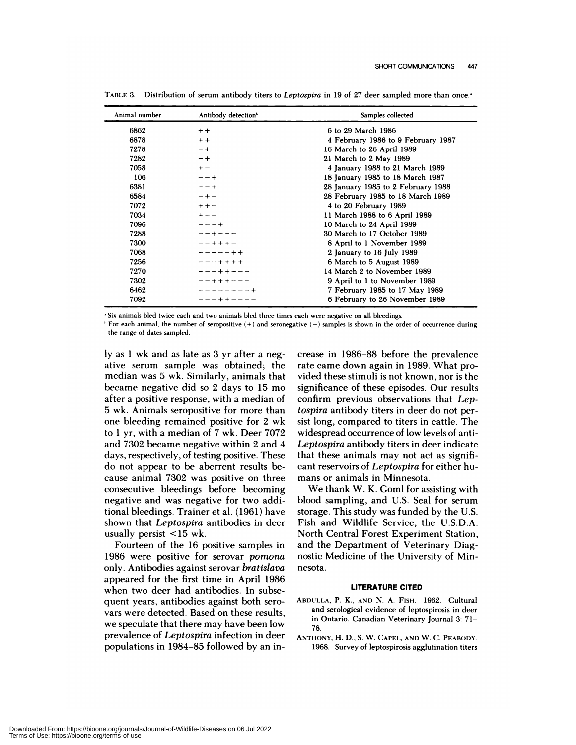| Animal number | Antibody detection <sup>b</sup> | Samples collected                  |  |
|---------------|---------------------------------|------------------------------------|--|
| 6862          | $+ +$                           | 6 to 29 March 1986                 |  |
| 6878          | $+ +$                           | 4 February 1986 to 9 February 1987 |  |
| 7278          | $-+$                            | 16 March to 26 April 1989          |  |
| 7282          | $-+$                            | 21 March to 2 May 1989             |  |
| 7058          | $+ -$                           | 4 January 1988 to 21 March 1989    |  |
| 106           | $-- +$                          | 18 January 1985 to 18 March 1987   |  |
| 6381          | $-- +$                          | 28 January 1985 to 2 February 1988 |  |
| 6584          | $- + -$                         | 28 February 1985 to 18 March 1989  |  |
| 7072          | $++-$                           | 4 to 20 February 1989              |  |
| 7034          | $+ - -$                         | 11 March 1988 to 6 April 1989      |  |
| 7096          | $- - - +$                       | 10 March to 24 April 1989          |  |
| 7288          | $- - + - - -$                   | 30 March to 17 October 1989        |  |
| 7300          | $- - + + + -$                   | 8 April to 1 November 1989         |  |
| 7068          | $----++$                        | 2 January to 16 July 1989          |  |
| 7256          | $--++++$                        | 6 March to 5 August 1989           |  |
| 7270          | $- - - + + - - -$               | 14 March 2 to November 1989        |  |
| 7302          | $- - + + + - - -$               | 9 April to 1 to November 1989      |  |
| 6462          | --------+                       | 7 February 1985 to 17 May 1989     |  |
| 7092          | $--++----$                      | 6 February to 26 November 1989     |  |

TABLE 3. Distribution of serum antibody titers to *Leptospira* in 19 of 27 deer sampled more than once.<sup>1</sup>

'Six animals bled twice each and two animals bled three times each were negative on all bleedings.

 $F$  For each animal, the number of seropositive  $(+)$  and seronegative  $(-)$  samples is shown in the order of occurrence during the range of dates sampled.

ly as 1 wk and as late as 3 yr after a negative serum sample was obtained; the median was 5 wk. Similarly, animals that became negative did so 2 days to 15 mo after a positive response, with a median of 5 wk.Animals seropositive for more than one bleeding remained positive for 2 wk to 1 yr, with a median of 7 wk. Deer 7072 and 7302 became negative within 2 and 4 days, respectively, of testing positive. These do not appear to be aberrent results be cause animal 7302 was positive on three consecutive bleedings before becoming negative and was negative for two additional bleedings. Trainer et a!. (1961) have shown that *Leptospira* antibodies in deer usually persist <15 wk.

Fourteen of the 16 positive samples in 1986 were positive for serovar *pomona* only. Antibodies against serovar *bratislava* appeared for the first time in April 1986 when two deer had antibodies. In subsequent years, antibodies against both sero vars were detected. Based on these results, we speculate that there may have been low prevalence of *Leptospira* infection in deer populations in 1984-85 followed by an increase in 1986-88 before the prevalence rate came down again in 1989. What provided these stimuli is not known, nor is the significance of these episodes. Our results confirm previous observations that *Leptospira* antibody titers in deer do not persist long, compared to titers in cattle. The widespread occurrence of low levels of anti-*Leptospira* antibody titers in deer indicate that these animals may not act as significant reservoirs of *Leptospira* for either hu mans or animals in Minnesota.

We thank W. K. Goml for assisting with blood sampling, and U.S. Seal for serum storage. This study was funded by the U.S. Fish and Wildlife Service, the U.S.D.A. North Central Forest Experiment Station, and the Department of Veterinary Diagnostic Medicine of the University of Minnesota.

## **LITERATURE CITED**

- **ABDULLA,** P. K., AND N. A. **FISH.** 1962. Cultural and serological evidence of leptospirosis in deer in Ontario. Canadian Veterinary Journal 3: 71- 78.
- ANTHONY, H. D., S. W. CAPEL, AND W. C. PEABODY. 1968. Survey of leptospirosis agglutination titers